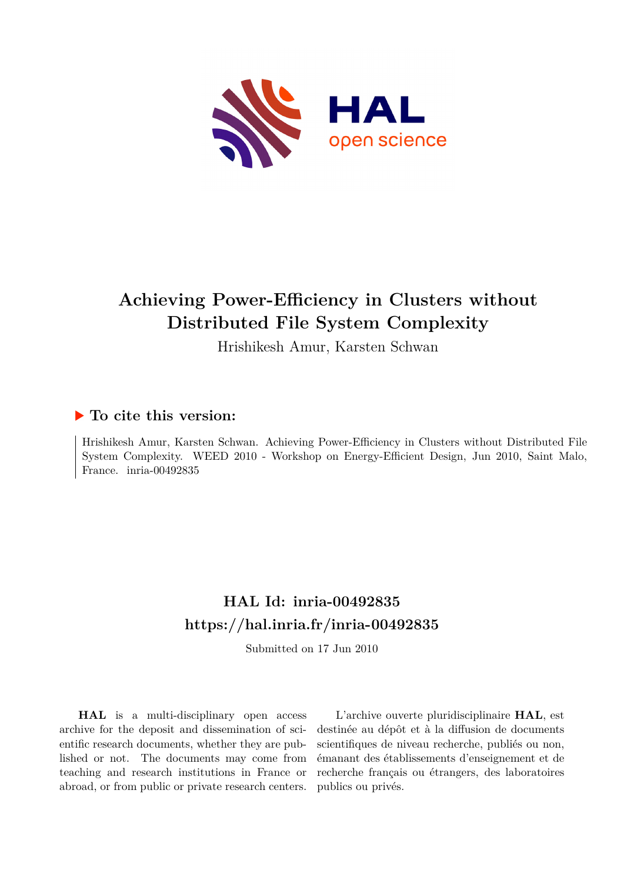

# **Achieving Power-Efficiency in Clusters without Distributed File System Complexity**

Hrishikesh Amur, Karsten Schwan

# **To cite this version:**

Hrishikesh Amur, Karsten Schwan. Achieving Power-Efficiency in Clusters without Distributed File System Complexity. WEED 2010 - Workshop on Energy-Efficient Design, Jun 2010, Saint Malo, France. inria-00492835

# **HAL Id: inria-00492835 <https://hal.inria.fr/inria-00492835>**

Submitted on 17 Jun 2010

**HAL** is a multi-disciplinary open access archive for the deposit and dissemination of scientific research documents, whether they are published or not. The documents may come from teaching and research institutions in France or abroad, or from public or private research centers.

L'archive ouverte pluridisciplinaire **HAL**, est destinée au dépôt et à la diffusion de documents scientifiques de niveau recherche, publiés ou non, émanant des établissements d'enseignement et de recherche français ou étrangers, des laboratoires publics ou privés.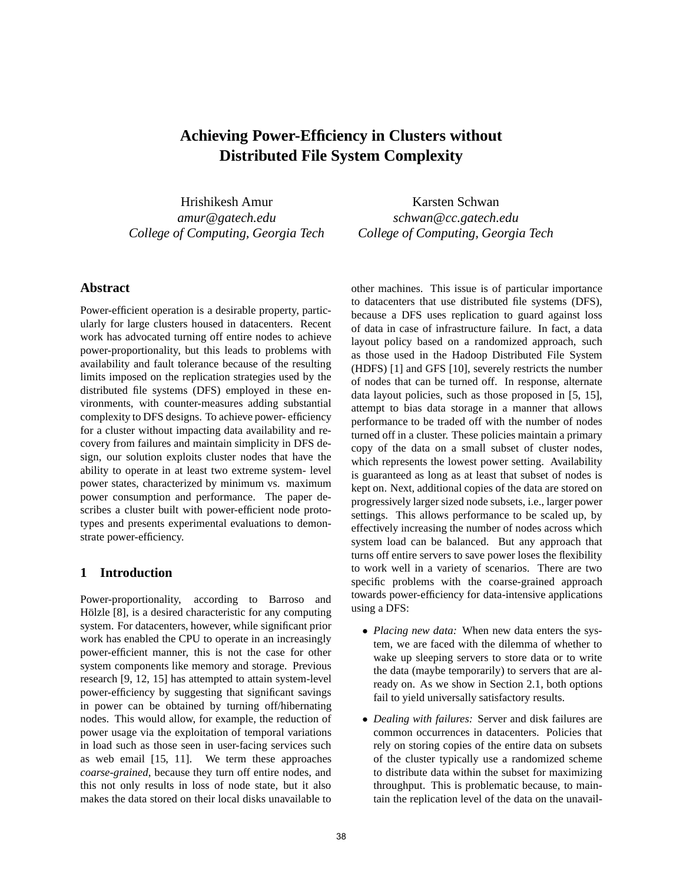# **Achieving Power-Efficiency in Clusters without Distributed File System Complexity**

Hrishikesh Amur *amur@gatech.edu College of Computing, Georgia Tech*

Karsten Schwan *schwan@cc.gatech.edu College of Computing, Georgia Tech*

## **Abstract**

Power-efficient operation is a desirable property, particularly for large clusters housed in datacenters. Recent work has advocated turning off entire nodes to achieve power-proportionality, but this leads to problems with availability and fault tolerance because of the resulting limits imposed on the replication strategies used by the distributed file systems (DFS) employed in these environments, with counter-measures adding substantial complexity to DFS designs. To achieve power- efficiency for a cluster without impacting data availability and recovery from failures and maintain simplicity in DFS design, our solution exploits cluster nodes that have the ability to operate in at least two extreme system- level power states, characterized by minimum vs. maximum power consumption and performance. The paper describes a cluster built with power-efficient node prototypes and presents experimental evaluations to demonstrate power-efficiency.

## **1 Introduction**

Power-proportionality, according to Barroso and Hölzle [8], is a desired characteristic for any computing system. For datacenters, however, while significant prior work has enabled the CPU to operate in an increasingly power-efficient manner, this is not the case for other system components like memory and storage. Previous research [9, 12, 15] has attempted to attain system-level power-efficiency by suggesting that significant savings in power can be obtained by turning off/hibernating nodes. This would allow, for example, the reduction of power usage via the exploitation of temporal variations in load such as those seen in user-facing services such as web email [15, 11]. We term these approaches *coarse-grained*, because they turn off entire nodes, and this not only results in loss of node state, but it also makes the data stored on their local disks unavailable to

other machines. This issue is of particular importance to datacenters that use distributed file systems (DFS), because a DFS uses replication to guard against loss of data in case of infrastructure failure. In fact, a data layout policy based on a randomized approach, such as those used in the Hadoop Distributed File System (HDFS) [1] and GFS [10], severely restricts the number of nodes that can be turned off. In response, alternate data layout policies, such as those proposed in [5, 15], attempt to bias data storage in a manner that allows performance to be traded off with the number of nodes turned off in a cluster. These policies maintain a primary copy of the data on a small subset of cluster nodes, which represents the lowest power setting. Availability is guaranteed as long as at least that subset of nodes is kept on. Next, additional copies of the data are stored on progressively larger sized node subsets, i.e., larger power settings. This allows performance to be scaled up, by effectively increasing the number of nodes across which system load can be balanced. But any approach that turns off entire servers to save power loses the flexibility to work well in a variety of scenarios. There are two specific problems with the coarse-grained approach towards power-efficiency for data-intensive applications using a DFS:

- *Placing new data:* When new data enters the system, we are faced with the dilemma of whether to wake up sleeping servers to store data or to write the data (maybe temporarily) to servers that are already on. As we show in Section 2.1, both options fail to yield universally satisfactory results.
- *Dealing with failures:* Server and disk failures are common occurrences in datacenters. Policies that rely on storing copies of the entire data on subsets of the cluster typically use a randomized scheme to distribute data within the subset for maximizing throughput. This is problematic because, to maintain the replication level of the data on the unavail-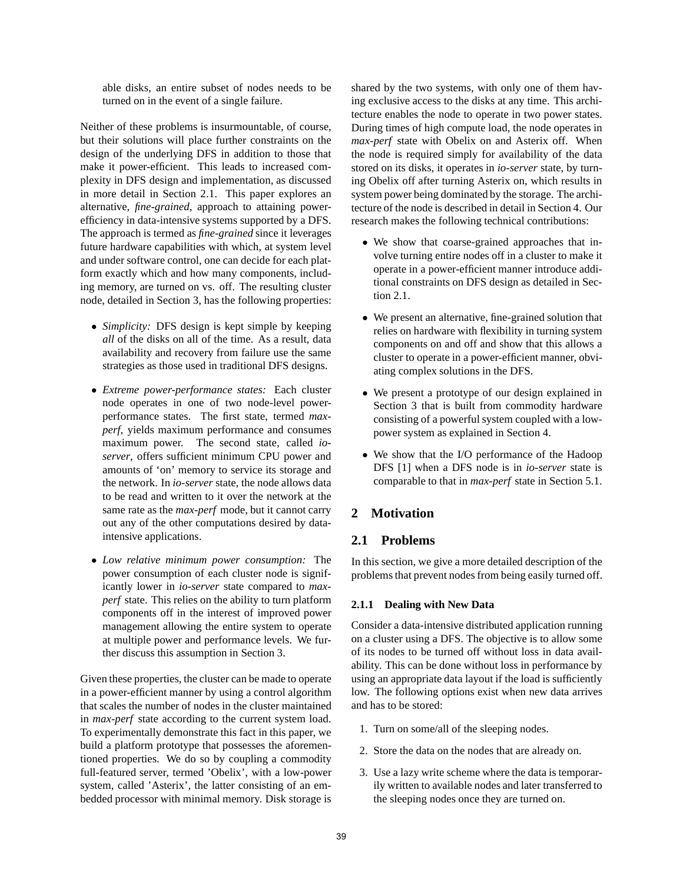able disks, an entire subset of nodes needs to be turned on in the event of a single failure.

Neither of these problems is insurmountable, of course, but their solutions will place further constraints on the design of the underlying DFS in addition to those that make it power-efficient. This leads to increased complexity in DFS design and implementation, as discussed in more detail in Section 2.1. This paper explores an alternative, *fine-grained*, approach to attaining powerefficiency in data-intensive systems supported by a DFS. The approach is termed as *fine-grained* since it leverages future hardware capabilities with which, at system level and under software control, one can decide for each platform exactly which and how many components, including memory, are turned on vs. off. The resulting cluster node, detailed in Section 3, has the following properties:

- *Simplicity:* DFS design is kept simple by keeping *all* of the disks on all of the time. As a result, data availability and recovery from failure use the same strategies as those used in traditional DFS designs.
- *Extreme power-performance states:* Each cluster node operates in one of two node-level powerperformance states. The first state, termed *maxperf*, yields maximum performance and consumes maximum power. The second state, called *ioserver*, offers sufficient minimum CPU power and amounts of 'on' memory to service its storage and the network. In *io-server* state, the node allows data to be read and written to it over the network at the same rate as the *max-perf* mode, but it cannot carry out any of the other computations desired by dataintensive applications.
- *Low relative minimum power consumption:* The power consumption of each cluster node is significantly lower in *io-server* state compared to *maxperf* state. This relies on the ability to turn platform components off in the interest of improved power management allowing the entire system to operate at multiple power and performance levels. We further discuss this assumption in Section 3.

Given these properties, the cluster can be made to operate in a power-efficient manner by using a control algorithm that scales the number of nodes in the cluster maintained in *max-perf* state according to the current system load. To experimentally demonstrate this fact in this paper, we build a platform prototype that possesses the aforementioned properties. We do so by coupling a commodity full-featured server, termed 'Obelix', with a low-power system, called 'Asterix', the latter consisting of an embedded processor with minimal memory. Disk storage is shared by the two systems, with only one of them having exclusive access to the disks at any time. This architecture enables the node to operate in two power states. During times of high compute load, the node operates in *max-perf* state with Obelix on and Asterix off. When the node is required simply for availability of the data stored on its disks, it operates in *io-server* state, by turning Obelix off after turning Asterix on, which results in system power being dominated by the storage. The architecture of the node is described in detail in Section 4. Our research makes the following technical contributions:

- We show that coarse-grained approaches that involve turning entire nodes off in a cluster to make it operate in a power-efficient manner introduce additional constraints on DFS design as detailed in Section 2.1.
- We present an alternative, fine-grained solution that relies on hardware with flexibility in turning system components on and off and show that this allows a cluster to operate in a power-efficient manner, obviating complex solutions in the DFS.
- We present a prototype of our design explained in Section 3 that is built from commodity hardware consisting of a powerful system coupled with a lowpower system as explained in Section 4.
- We show that the I/O performance of the Hadoop DFS [1] when a DFS node is in *io-server* state is comparable to that in *max-perf* state in Section 5.1.

## **2 Motivation**

#### **2.1 Problems**

In this section, we give a more detailed description of the problems that prevent nodes from being easily turned off.

#### **2.1.1 Dealing with New Data**

Consider a data-intensive distributed application running on a cluster using a DFS. The objective is to allow some of its nodes to be turned off without loss in data availability. This can be done without loss in performance by using an appropriate data layout if the load is sufficiently low. The following options exist when new data arrives and has to be stored:

- 1. Turn on some/all of the sleeping nodes.
- 2. Store the data on the nodes that are already on.
- 3. Use a lazy write scheme where the data is temporarily written to available nodes and later transferred to the sleeping nodes once they are turned on.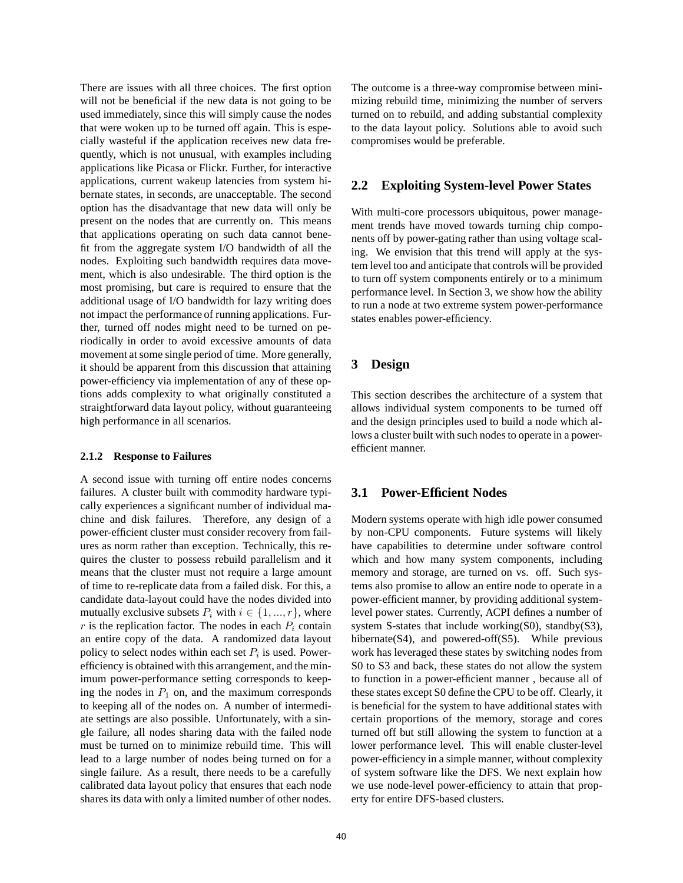There are issues with all three choices. The first option will not be beneficial if the new data is not going to be used immediately, since this will simply cause the nodes that were woken up to be turned off again. This is especially wasteful if the application receives new data frequently, which is not unusual, with examples including applications like Picasa or Flickr. Further, for interactive applications, current wakeup latencies from system hibernate states, in seconds, are unacceptable. The second option has the disadvantage that new data will only be present on the nodes that are currently on. This means that applications operating on such data cannot benefit from the aggregate system I/O bandwidth of all the nodes. Exploiting such bandwidth requires data movement, which is also undesirable. The third option is the most promising, but care is required to ensure that the additional usage of I/O bandwidth for lazy writing does not impact the performance of running applications. Further, turned off nodes might need to be turned on periodically in order to avoid excessive amounts of data movement at some single period of time. More generally, it should be apparent from this discussion that attaining power-efficiency via implementation of any of these options adds complexity to what originally constituted a straightforward data layout policy, without guaranteeing high performance in all scenarios.

#### **2.1.2 Response to Failures**

A second issue with turning off entire nodes concerns failures. A cluster built with commodity hardware typically experiences a significant number of individual machine and disk failures. Therefore, any design of a power-efficient cluster must consider recovery from failures as norm rather than exception. Technically, this requires the cluster to possess rebuild parallelism and it means that the cluster must not require a large amount of time to re-replicate data from a failed disk. For this, a candidate data-layout could have the nodes divided into mutually exclusive subsets  $P_i$  with  $i \in \{1, ..., r\}$ , where  $r$  is the replication factor. The nodes in each  $P_i$  contain an entire copy of the data. A randomized data layout policy to select nodes within each set  $P_i$  is used. Powerefficiency is obtained with this arrangement, and the minimum power-performance setting corresponds to keeping the nodes in  $P_1$  on, and the maximum corresponds to keeping all of the nodes on. A number of intermediate settings are also possible. Unfortunately, with a single failure, all nodes sharing data with the failed node must be turned on to minimize rebuild time. This will lead to a large number of nodes being turned on for a single failure. As a result, there needs to be a carefully calibrated data layout policy that ensures that each node shares its data with only a limited number of other nodes. The outcome is a three-way compromise between minimizing rebuild time, minimizing the number of servers turned on to rebuild, and adding substantial complexity to the data layout policy. Solutions able to avoid such compromises would be preferable.

#### **2.2 Exploiting System-level Power States**

With multi-core processors ubiquitous, power management trends have moved towards turning chip components off by power-gating rather than using voltage scaling. We envision that this trend will apply at the system level too and anticipate that controls will be provided to turn off system components entirely or to a minimum performance level. In Section 3, we show how the ability to run a node at two extreme system power-performance states enables power-efficiency.

#### **3 Design**

This section describes the architecture of a system that allows individual system components to be turned off and the design principles used to build a node which allows a cluster built with such nodes to operate in a powerefficient manner.

#### **3.1 Power-Efficient Nodes**

Modern systems operate with high idle power consumed by non-CPU components. Future systems will likely have capabilities to determine under software control which and how many system components, including memory and storage, are turned on vs. off. Such systems also promise to allow an entire node to operate in a power-efficient manner, by providing additional systemlevel power states. Currently, ACPI defines a number of system S-states that include working(S0), standby(S3), hibernate(S4), and powered-off(S5). While previous work has leveraged these states by switching nodes from S0 to S3 and back, these states do not allow the system to function in a power-efficient manner , because all of these states except S0 define the CPU to be off. Clearly, it is beneficial for the system to have additional states with certain proportions of the memory, storage and cores turned off but still allowing the system to function at a lower performance level. This will enable cluster-level power-efficiency in a simple manner, without complexity of system software like the DFS. We next explain how we use node-level power-efficiency to attain that property for entire DFS-based clusters.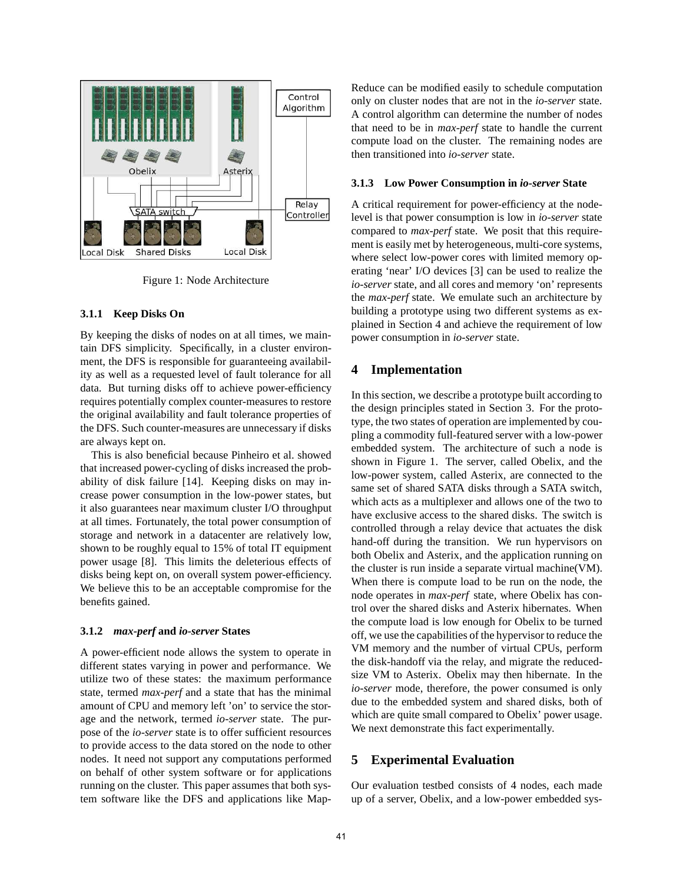

Figure 1: Node Architecture

#### **3.1.1 Keep Disks On**

By keeping the disks of nodes on at all times, we maintain DFS simplicity. Specifically, in a cluster environment, the DFS is responsible for guaranteeing availability as well as a requested level of fault tolerance for all data. But turning disks off to achieve power-efficiency requires potentially complex counter-measures to restore the original availability and fault tolerance properties of the DFS. Such counter-measures are unnecessary if disks are always kept on.

This is also beneficial because Pinheiro et al. showed that increased power-cycling of disks increased the probability of disk failure [14]. Keeping disks on may increase power consumption in the low-power states, but it also guarantees near maximum cluster I/O throughput at all times. Fortunately, the total power consumption of storage and network in a datacenter are relatively low, shown to be roughly equal to 15% of total IT equipment power usage [8]. This limits the deleterious effects of disks being kept on, on overall system power-efficiency. We believe this to be an acceptable compromise for the benefits gained.

#### **3.1.2** *max-perf* **and** *io-server* **States**

A power-efficient node allows the system to operate in different states varying in power and performance. We utilize two of these states: the maximum performance state, termed *max-perf* and a state that has the minimal amount of CPU and memory left 'on' to service the storage and the network, termed *io-server* state. The purpose of the *io-server* state is to offer sufficient resources to provide access to the data stored on the node to other nodes. It need not support any computations performed on behalf of other system software or for applications running on the cluster. This paper assumes that both system software like the DFS and applications like MapReduce can be modified easily to schedule computation only on cluster nodes that are not in the *io-server* state. A control algorithm can determine the number of nodes that need to be in *max-perf* state to handle the current compute load on the cluster. The remaining nodes are then transitioned into *io-server* state.

#### **3.1.3 Low Power Consumption in** *io-server* **State**

A critical requirement for power-efficiency at the nodelevel is that power consumption is low in *io-server* state compared to *max-perf* state. We posit that this requirement is easily met by heterogeneous, multi-core systems, where select low-power cores with limited memory operating 'near' I/O devices [3] can be used to realize the *io-server* state, and all cores and memory 'on' represents the *max-perf* state. We emulate such an architecture by building a prototype using two different systems as explained in Section 4 and achieve the requirement of low power consumption in *io-server* state.

#### **4 Implementation**

In this section, we describe a prototype built according to the design principles stated in Section 3. For the prototype, the two states of operation are implemented by coupling a commodity full-featured server with a low-power embedded system. The architecture of such a node is shown in Figure 1. The server, called Obelix, and the low-power system, called Asterix, are connected to the same set of shared SATA disks through a SATA switch, which acts as a multiplexer and allows one of the two to have exclusive access to the shared disks. The switch is controlled through a relay device that actuates the disk hand-off during the transition. We run hypervisors on both Obelix and Asterix, and the application running on the cluster is run inside a separate virtual machine(VM). When there is compute load to be run on the node, the node operates in *max-perf* state, where Obelix has control over the shared disks and Asterix hibernates. When the compute load is low enough for Obelix to be turned off, we use the capabilities of the hypervisor to reduce the VM memory and the number of virtual CPUs, perform the disk-handoff via the relay, and migrate the reducedsize VM to Asterix. Obelix may then hibernate. In the *io-server* mode, therefore, the power consumed is only due to the embedded system and shared disks, both of which are quite small compared to Obelix' power usage. We next demonstrate this fact experimentally.

### **5 Experimental Evaluation**

Our evaluation testbed consists of 4 nodes, each made up of a server, Obelix, and a low-power embedded sys-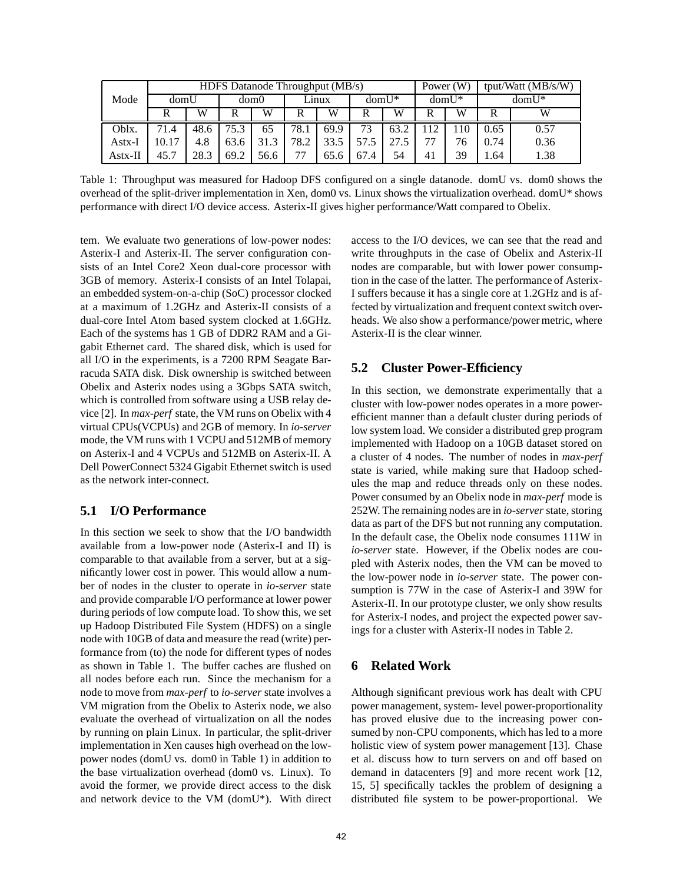| Mode    | HDFS Datanode Throughput (MB/s) |      |       |      |       |      |          |      | Power $(W)$ |     | tput/Watt (MB/s/W) |      |
|---------|---------------------------------|------|-------|------|-------|------|----------|------|-------------|-----|--------------------|------|
|         | domU                            |      | dom() |      | Linux |      | $domU^*$ |      | $domU^*$    |     | $domU^*$           |      |
|         |                                 | W    | R     | W    |       | W    |          | W    |             | W   |                    | W    |
| Oblx.   | 71.4                            | 48.6 | 75.3  | 65   | 78.1  | 69.9 | 73       | 63.2 | 12          | 110 | 0.65               | 0.57 |
| Astx-I  | 10.17                           | 4.8  | 63.6  | 31.3 | 78.2  | 33.5 | 57.5     | 27.5 |             | 76  | 0.74               | 0.36 |
| Astx-Il | 45.7                            | 28.3 | 69.2  | 56.6 |       | 65.6 | 67.4     | 54   | 41          | 39  | .64                | 1.38 |

Table 1: Throughput was measured for Hadoop DFS configured on a single datanode. domU vs. dom0 shows the overhead of the split-driver implementation in Xen, dom0 vs. Linux shows the virtualization overhead. domU\* shows performance with direct I/O device access. Asterix-II gives higher performance/Watt compared to Obelix.

tem. We evaluate two generations of low-power nodes: Asterix-I and Asterix-II. The server configuration consists of an Intel Core2 Xeon dual-core processor with 3GB of memory. Asterix-I consists of an Intel Tolapai, an embedded system-on-a-chip (SoC) processor clocked at a maximum of 1.2GHz and Asterix-II consists of a dual-core Intel Atom based system clocked at 1.6GHz. Each of the systems has 1 GB of DDR2 RAM and a Gigabit Ethernet card. The shared disk, which is used for all I/O in the experiments, is a 7200 RPM Seagate Barracuda SATA disk. Disk ownership is switched between Obelix and Asterix nodes using a 3Gbps SATA switch, which is controlled from software using a USB relay device [2]. In *max-perf* state, the VM runs on Obelix with 4 virtual CPUs(VCPUs) and 2GB of memory. In *io-server* mode, the VM runs with 1 VCPU and 512MB of memory on Asterix-I and 4 VCPUs and 512MB on Asterix-II. A Dell PowerConnect 5324 Gigabit Ethernet switch is used as the network inter-connect.

#### **5.1 I/O Performance**

In this section we seek to show that the I/O bandwidth available from a low-power node (Asterix-I and II) is comparable to that available from a server, but at a significantly lower cost in power. This would allow a number of nodes in the cluster to operate in *io-server* state and provide comparable I/O performance at lower power during periods of low compute load. To show this, we set up Hadoop Distributed File System (HDFS) on a single node with 10GB of data and measure the read (write) performance from (to) the node for different types of nodes as shown in Table 1. The buffer caches are flushed on all nodes before each run. Since the mechanism for a node to move from *max-perf* to *io-server* state involves a VM migration from the Obelix to Asterix node, we also evaluate the overhead of virtualization on all the nodes by running on plain Linux. In particular, the split-driver implementation in Xen causes high overhead on the lowpower nodes (domU vs. dom0 in Table 1) in addition to the base virtualization overhead (dom0 vs. Linux). To avoid the former, we provide direct access to the disk and network device to the VM (domU\*). With direct access to the I/O devices, we can see that the read and write throughputs in the case of Obelix and Asterix-II nodes are comparable, but with lower power consumption in the case of the latter. The performance of Asterix-I suffers because it has a single core at 1.2GHz and is affected by virtualization and frequent context switch overheads. We also show a performance/power metric, where Asterix-II is the clear winner.

#### **5.2 Cluster Power-Efficiency**

In this section, we demonstrate experimentally that a cluster with low-power nodes operates in a more powerefficient manner than a default cluster during periods of low system load. We consider a distributed grep program implemented with Hadoop on a 10GB dataset stored on a cluster of 4 nodes. The number of nodes in *max-perf* state is varied, while making sure that Hadoop schedules the map and reduce threads only on these nodes. Power consumed by an Obelix node in *max-perf* mode is 252W. The remaining nodes are in *io-server* state, storing data as part of the DFS but not running any computation. In the default case, the Obelix node consumes 111W in *io-server* state. However, if the Obelix nodes are coupled with Asterix nodes, then the VM can be moved to the low-power node in *io-server* state. The power consumption is 77W in the case of Asterix-I and 39W for Asterix-II. In our prototype cluster, we only show results for Asterix-I nodes, and project the expected power savings for a cluster with Asterix-II nodes in Table 2.

#### **6 Related Work**

Although significant previous work has dealt with CPU power management, system- level power-proportionality has proved elusive due to the increasing power consumed by non-CPU components, which has led to a more holistic view of system power management [13]. Chase et al. discuss how to turn servers on and off based on demand in datacenters [9] and more recent work [12, 15, 5] specifically tackles the problem of designing a distributed file system to be power-proportional. We